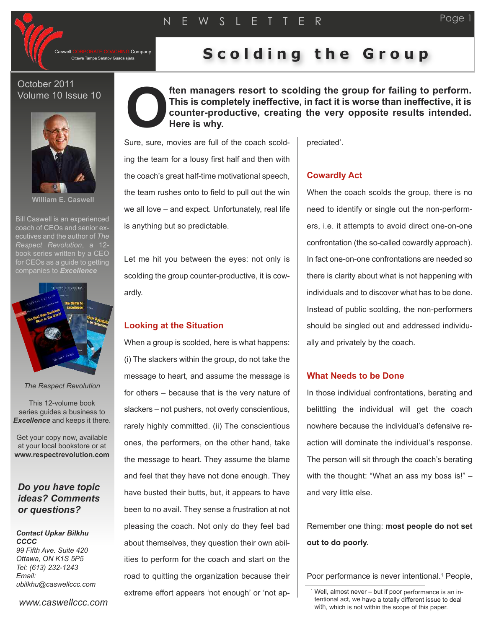Company

# Ottawa Tampa Saratov Guadalajara **S c o l d i n g t h e G r o u p**

## October 2011 Volume 10 Issue 10



**William E. Caswell**

Bill Caswell is an experienced coach of CEOs and senior executives and the author of *The Respect Revolution*, a 12 book series written by a CEO for CEOs as a quide to getting companies to *Excellence*



*The Respect Revolution*

This 12-volume book series guides a business to *Excellence* and keeps it there.

Get your copy now, available at your local bookstore or at **www.respectrevolution.com**

# *Do you have topic ideas? Comments or questions?*

## *Contact Upkar Bilkhu CCCC*

*99 Fifth Ave. Suite 420 Ottawa, ON K1S 5P5 Tel: (613) 232-1243 Email: ubilkhu@caswellccc.com*

*www.caswellccc.com*

**ften managers resort to scolding the group for failing to perform. This is completely ineffective, in fact it is worse than ineffective, it is counter-productive, creating the very opposite results intended. Here is why. O**

S ure, sure, movies are full of the coach scolding the team for a lousy first half and then with the coach's great half-time motivational speech, the team rushes onto to field to pull out the win we all love – and expect. Unfortunately, real life is anything but so predictable.

Let me hit you between the eyes: not only is scolding the group counter-productive, it is cowardly.

# **Looking at the Situation**

When a group is scolded, here is what happens: (i) The slackers within the group, do not take the message to heart, and assume the message is for others – because that is the very nature of slackers – not pushers, not overly conscientious, rarely highly committed. (ii) The conscientious ones, the performers, on the other hand, take the message to heart. They assume the blame and feel that they have not done enough. They have busted their butts, but, it appears to have been to no avail. They sense a frustration at not pleasing the coach. Not only do they feel bad about themselves, they question their own abilities to perform for the coach and start on the road to quitting the organization because their extreme effort appears 'not enough' or 'not appreciated'.

### **Cowardly Act**

When the coach scolds the group, there is no need to identify or single out the non-performers, i.e. it attempts to avoid direct one-on-one confrontation (the so-called cowardly approach). In fact one-on-one confrontations are needed so there is clarity about what is not happening with individuals and to discover what has to be done. Instead of public scolding, the non-performers should be singled out and addressed individually and privately by the coach.

#### **What Needs to be Done**

In those individual confrontations, berating and belittling the individual will get the coach nowhere because the individual's defensive reaction will dominate the individual's response. The person will sit through the coach's berating with the thought: "What an ass my boss is!" – and very little else.

Remember one thing: **most people do not set out to do poorly.**

Poor performance is never intentional. <sup>1</sup> People,

<sup>1</sup> Well, almost never – but if poor performance is an intentional act, we have <sup>a</sup> totally different issue to deal with, which is not within the scope of this paper.